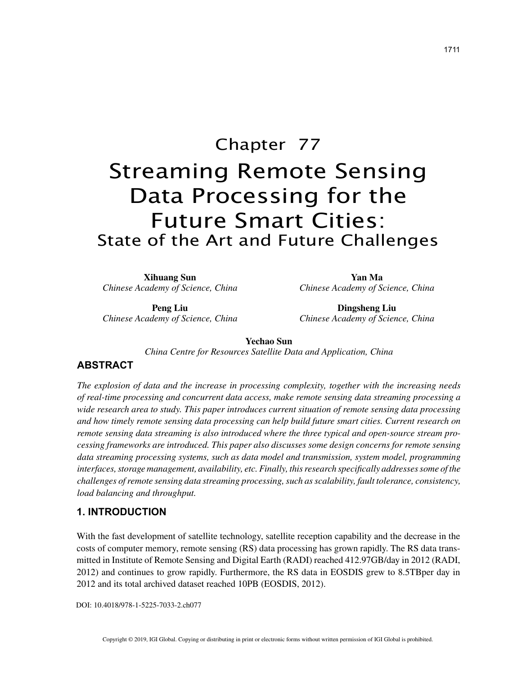# Chapter 77 Streaming Remote Sensing Data Processing for the Future Smart Cities: State of the Art and Future Challenges

**Xihuang Sun** *Chinese Academy of Science, China*

**Peng Liu** *Chinese Academy of Science, China*

**Yan Ma** *Chinese Academy of Science, China*

**Dingsheng Liu** *Chinese Academy of Science, China*

**Yechao Sun**

*China Centre for Resources Satellite Data and Application, China*

# **ABSTRACT**

*The explosion of data and the increase in processing complexity, together with the increasing needs of real-time processing and concurrent data access, make remote sensing data streaming processing a wide research area to study. This paper introduces current situation of remote sensing data processing and how timely remote sensing data processing can help build future smart cities. Current research on remote sensing data streaming is also introduced where the three typical and open-source stream processing frameworks are introduced. This paper also discusses some design concerns for remote sensing data streaming processing systems, such as data model and transmission, system model, programming interfaces, storage management, availability, etc. Finally, this research specifically addresses some of the challenges of remote sensing data streaming processing, such as scalability, fault tolerance, consistency, load balancing and throughput.*

# **1. INTRODUCTION**

With the fast development of satellite technology, satellite reception capability and the decrease in the costs of computer memory, remote sensing (RS) data processing has grown rapidly. The RS data transmitted in Institute of Remote Sensing and Digital Earth (RADI) reached 412.97GB/day in 2012 (RADI, 2012) and continues to grow rapidly. Furthermore, the RS data in EOSDIS grew to 8.5TBper day in 2012 and its total archived dataset reached 10PB (EOSDIS, 2012).

DOI: 10.4018/978-1-5225-7033-2.ch077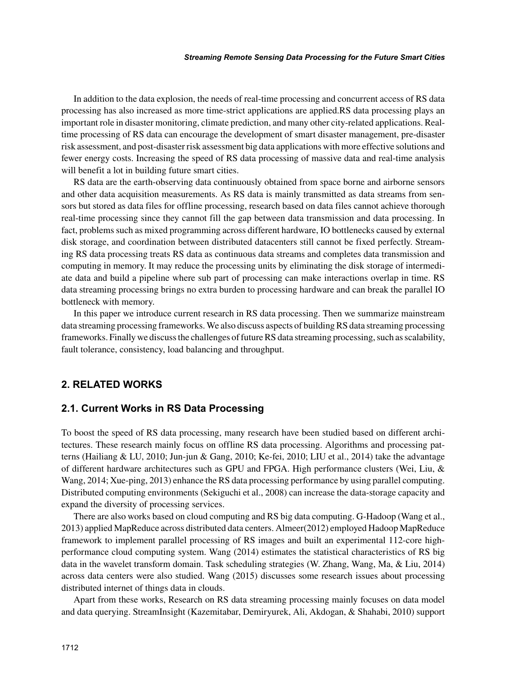#### *Streaming Remote Sensing Data Processing for the Future Smart Cities*

In addition to the data explosion, the needs of real-time processing and concurrent access of RS data processing has also increased as more time-strict applications are applied.RS data processing plays an important role in disaster monitoring, climate prediction, and many other city-related applications. Realtime processing of RS data can encourage the development of smart disaster management, pre-disaster risk assessment, and post-disaster risk assessment big data applications with more effective solutions and fewer energy costs. Increasing the speed of RS data processing of massive data and real-time analysis will benefit a lot in building future smart cities.

RS data are the earth-observing data continuously obtained from space borne and airborne sensors and other data acquisition measurements. As RS data is mainly transmitted as data streams from sensors but stored as data files for offline processing, research based on data files cannot achieve thorough real-time processing since they cannot fill the gap between data transmission and data processing. In fact, problems such as mixed programming across different hardware, IO bottlenecks caused by external disk storage, and coordination between distributed datacenters still cannot be fixed perfectly. Streaming RS data processing treats RS data as continuous data streams and completes data transmission and computing in memory. It may reduce the processing units by eliminating the disk storage of intermediate data and build a pipeline where sub part of processing can make interactions overlap in time. RS data streaming processing brings no extra burden to processing hardware and can break the parallel IO bottleneck with memory.

In this paper we introduce current research in RS data processing. Then we summarize mainstream data streaming processing frameworks. We also discuss aspects of building RS data streaming processing frameworks. Finally we discuss the challenges of future RS data streaming processing, such as scalability, fault tolerance, consistency, load balancing and throughput.

# **2. RELATED WORKS**

#### **2.1. Current Works in RS Data Processing**

To boost the speed of RS data processing, many research have been studied based on different architectures. These research mainly focus on offline RS data processing. Algorithms and processing patterns (Hailiang & LU, 2010; Jun-jun & Gang, 2010; Ke-fei, 2010; LIU et al., 2014) take the advantage of different hardware architectures such as GPU and FPGA. High performance clusters (Wei, Liu, & Wang, 2014; Xue-ping, 2013) enhance the RS data processing performance by using parallel computing. Distributed computing environments (Sekiguchi et al., 2008) can increase the data-storage capacity and expand the diversity of processing services.

There are also works based on cloud computing and RS big data computing. G-Hadoop (Wang et al., 2013) applied MapReduce across distributed data centers. Almeer(2012) employed Hadoop MapReduce framework to implement parallel processing of RS images and built an experimental 112-core highperformance cloud computing system. Wang (2014) estimates the statistical characteristics of RS big data in the wavelet transform domain. Task scheduling strategies (W. Zhang, Wang, Ma, & Liu, 2014) across data centers were also studied. Wang (2015) discusses some research issues about processing distributed internet of things data in clouds.

Apart from these works, Research on RS data streaming processing mainly focuses on data model and data querying. StreamInsight (Kazemitabar, Demiryurek, Ali, Akdogan, & Shahabi, 2010) support